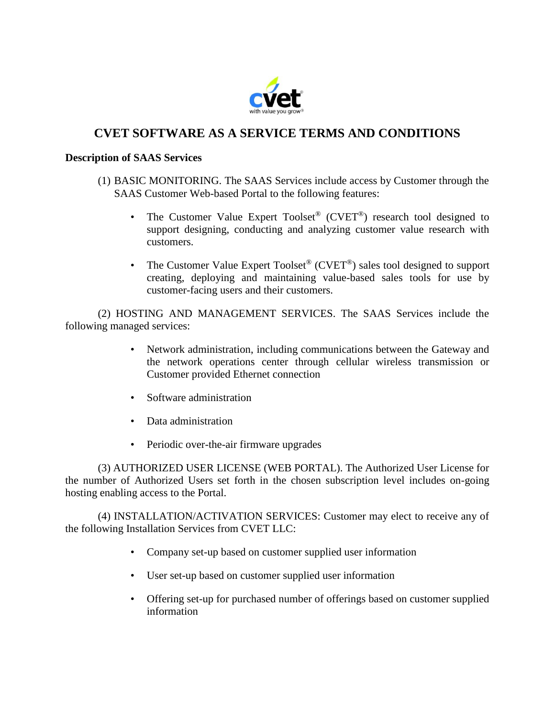

# **CVET SOFTWARE AS A SERVICE TERMS AND CONDITIONS**

# **Description of SAAS Services**

- (1) BASIC MONITORING. The SAAS Services include access by Customer through the SAAS Customer Web-based Portal to the following features:
	- The Customer Value Expert Toolset<sup>®</sup> (CVET<sup>®</sup>) research tool designed to support designing, conducting and analyzing customer value research with customers.
	- The Customer Value Expert Toolset<sup>®</sup> (CVET<sup>®</sup>) sales tool designed to support creating, deploying and maintaining value-based sales tools for use by customer-facing users and their customers.

(2) HOSTING AND MANAGEMENT SERVICES. The SAAS Services include the following managed services:

- Network administration, including communications between the Gateway and the network operations center through cellular wireless transmission or Customer provided Ethernet connection
- Software administration
- Data administration
- Periodic over-the-air firmware upgrades

(3) AUTHORIZED USER LICENSE (WEB PORTAL). The Authorized User License for the number of Authorized Users set forth in the chosen subscription level includes on-going hosting enabling access to the Portal.

(4) INSTALLATION/ACTIVATION SERVICES: Customer may elect to receive any of the following Installation Services from CVET LLC:

- Company set-up based on customer supplied user information
- User set-up based on customer supplied user information
- Offering set-up for purchased number of offerings based on customer supplied information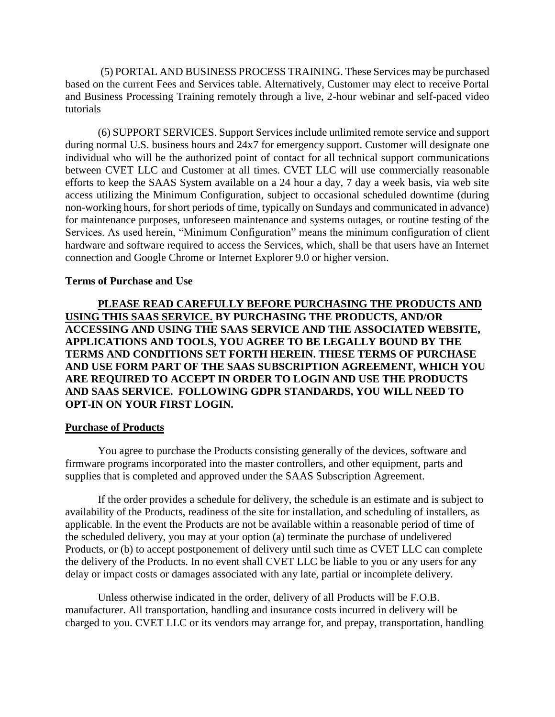(5) PORTAL AND BUSINESS PROCESS TRAINING. These Services may be purchased based on the current Fees and Services table. Alternatively, Customer may elect to receive Portal and Business Processing Training remotely through a live, 2-hour webinar and self-paced video tutorials

(6) SUPPORT SERVICES. Support Services include unlimited remote service and support during normal U.S. business hours and 24x7 for emergency support. Customer will designate one individual who will be the authorized point of contact for all technical support communications between CVET LLC and Customer at all times. CVET LLC will use commercially reasonable efforts to keep the SAAS System available on a 24 hour a day, 7 day a week basis, via web site access utilizing the Minimum Configuration, subject to occasional scheduled downtime (during non-working hours, for short periods of time, typically on Sundays and communicated in advance) for maintenance purposes, unforeseen maintenance and systems outages, or routine testing of the Services. As used herein, "Minimum Configuration" means the minimum configuration of client hardware and software required to access the Services, which, shall be that users have an Internet connection and Google Chrome or Internet Explorer 9.0 or higher version.

## **Terms of Purchase and Use**

**PLEASE READ CAREFULLY BEFORE PURCHASING THE PRODUCTS AND USING THIS SAAS SERVICE. BY PURCHASING THE PRODUCTS, AND/OR ACCESSING AND USING THE SAAS SERVICE AND THE ASSOCIATED WEBSITE, APPLICATIONS AND TOOLS, YOU AGREE TO BE LEGALLY BOUND BY THE TERMS AND CONDITIONS SET FORTH HEREIN. THESE TERMS OF PURCHASE AND USE FORM PART OF THE SAAS SUBSCRIPTION AGREEMENT, WHICH YOU ARE REQUIRED TO ACCEPT IN ORDER TO LOGIN AND USE THE PRODUCTS AND SAAS SERVICE. FOLLOWING GDPR STANDARDS, YOU WILL NEED TO OPT-IN ON YOUR FIRST LOGIN.**

## **Purchase of Products**

You agree to purchase the Products consisting generally of the devices, software and firmware programs incorporated into the master controllers, and other equipment, parts and supplies that is completed and approved under the SAAS Subscription Agreement.

If the order provides a schedule for delivery, the schedule is an estimate and is subject to availability of the Products, readiness of the site for installation, and scheduling of installers, as applicable. In the event the Products are not be available within a reasonable period of time of the scheduled delivery, you may at your option (a) terminate the purchase of undelivered Products, or (b) to accept postponement of delivery until such time as CVET LLC can complete the delivery of the Products. In no event shall CVET LLC be liable to you or any users for any delay or impact costs or damages associated with any late, partial or incomplete delivery.

Unless otherwise indicated in the order, delivery of all Products will be F.O.B. manufacturer. All transportation, handling and insurance costs incurred in delivery will be charged to you. CVET LLC or its vendors may arrange for, and prepay, transportation, handling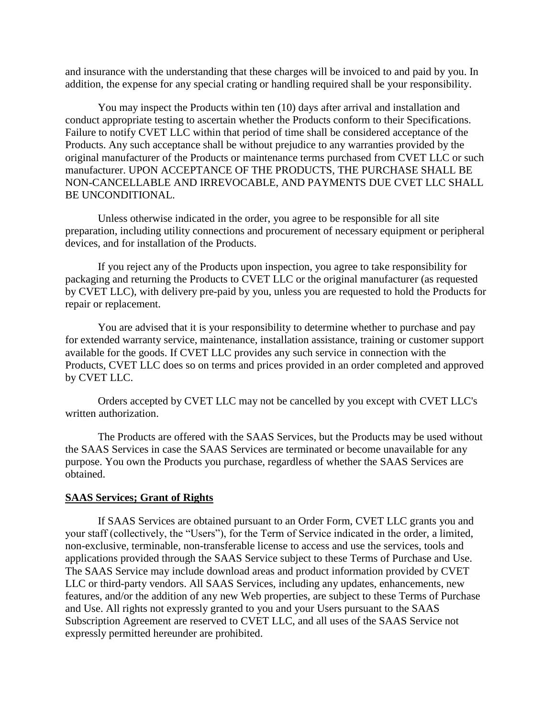and insurance with the understanding that these charges will be invoiced to and paid by you. In addition, the expense for any special crating or handling required shall be your responsibility.

You may inspect the Products within ten (10) days after arrival and installation and conduct appropriate testing to ascertain whether the Products conform to their Specifications. Failure to notify CVET LLC within that period of time shall be considered acceptance of the Products. Any such acceptance shall be without prejudice to any warranties provided by the original manufacturer of the Products or maintenance terms purchased from CVET LLC or such manufacturer. UPON ACCEPTANCE OF THE PRODUCTS, THE PURCHASE SHALL BE NON-CANCELLABLE AND IRREVOCABLE, AND PAYMENTS DUE CVET LLC SHALL BE UNCONDITIONAL.

Unless otherwise indicated in the order, you agree to be responsible for all site preparation, including utility connections and procurement of necessary equipment or peripheral devices, and for installation of the Products.

If you reject any of the Products upon inspection, you agree to take responsibility for packaging and returning the Products to CVET LLC or the original manufacturer (as requested by CVET LLC), with delivery pre-paid by you, unless you are requested to hold the Products for repair or replacement.

You are advised that it is your responsibility to determine whether to purchase and pay for extended warranty service, maintenance, installation assistance, training or customer support available for the goods. If CVET LLC provides any such service in connection with the Products, CVET LLC does so on terms and prices provided in an order completed and approved by CVET LLC.

Orders accepted by CVET LLC may not be cancelled by you except with CVET LLC's written authorization.

The Products are offered with the SAAS Services, but the Products may be used without the SAAS Services in case the SAAS Services are terminated or become unavailable for any purpose. You own the Products you purchase, regardless of whether the SAAS Services are obtained.

## **SAAS Services; Grant of Rights**

If SAAS Services are obtained pursuant to an Order Form, CVET LLC grants you and your staff (collectively, the "Users"), for the Term of Service indicated in the order, a limited, non-exclusive, terminable, non-transferable license to access and use the services, tools and applications provided through the SAAS Service subject to these Terms of Purchase and Use. The SAAS Service may include download areas and product information provided by CVET LLC or third-party vendors. All SAAS Services, including any updates, enhancements, new features, and/or the addition of any new Web properties, are subject to these Terms of Purchase and Use. All rights not expressly granted to you and your Users pursuant to the SAAS Subscription Agreement are reserved to CVET LLC, and all uses of the SAAS Service not expressly permitted hereunder are prohibited.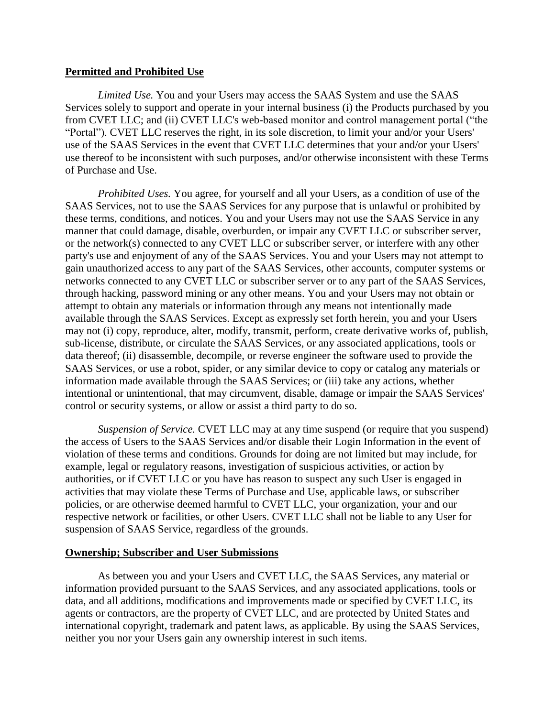## **Permitted and Prohibited Use**

*Limited Use.* You and your Users may access the SAAS System and use the SAAS Services solely to support and operate in your internal business (i) the Products purchased by you from CVET LLC; and (ii) CVET LLC's web-based monitor and control management portal ("the "Portal"). CVET LLC reserves the right, in its sole discretion, to limit your and/or your Users' use of the SAAS Services in the event that CVET LLC determines that your and/or your Users' use thereof to be inconsistent with such purposes, and/or otherwise inconsistent with these Terms of Purchase and Use.

*Prohibited Uses.* You agree, for yourself and all your Users, as a condition of use of the SAAS Services, not to use the SAAS Services for any purpose that is unlawful or prohibited by these terms, conditions, and notices. You and your Users may not use the SAAS Service in any manner that could damage, disable, overburden, or impair any CVET LLC or subscriber server, or the network(s) connected to any CVET LLC or subscriber server, or interfere with any other party's use and enjoyment of any of the SAAS Services. You and your Users may not attempt to gain unauthorized access to any part of the SAAS Services, other accounts, computer systems or networks connected to any CVET LLC or subscriber server or to any part of the SAAS Services, through hacking, password mining or any other means. You and your Users may not obtain or attempt to obtain any materials or information through any means not intentionally made available through the SAAS Services. Except as expressly set forth herein, you and your Users may not (i) copy, reproduce, alter, modify, transmit, perform, create derivative works of, publish, sub-license, distribute, or circulate the SAAS Services, or any associated applications, tools or data thereof; (ii) disassemble, decompile, or reverse engineer the software used to provide the SAAS Services, or use a robot, spider, or any similar device to copy or catalog any materials or information made available through the SAAS Services; or (iii) take any actions, whether intentional or unintentional, that may circumvent, disable, damage or impair the SAAS Services' control or security systems, or allow or assist a third party to do so.

*Suspension of Service.* CVET LLC may at any time suspend (or require that you suspend) the access of Users to the SAAS Services and/or disable their Login Information in the event of violation of these terms and conditions. Grounds for doing are not limited but may include, for example, legal or regulatory reasons, investigation of suspicious activities, or action by authorities, or if CVET LLC or you have has reason to suspect any such User is engaged in activities that may violate these Terms of Purchase and Use, applicable laws, or subscriber policies, or are otherwise deemed harmful to CVET LLC, your organization, your and our respective network or facilities, or other Users. CVET LLC shall not be liable to any User for suspension of SAAS Service, regardless of the grounds.

# **Ownership; Subscriber and User Submissions**

As between you and your Users and CVET LLC, the SAAS Services, any material or information provided pursuant to the SAAS Services, and any associated applications, tools or data, and all additions, modifications and improvements made or specified by CVET LLC, its agents or contractors, are the property of CVET LLC, and are protected by United States and international copyright, trademark and patent laws, as applicable. By using the SAAS Services, neither you nor your Users gain any ownership interest in such items.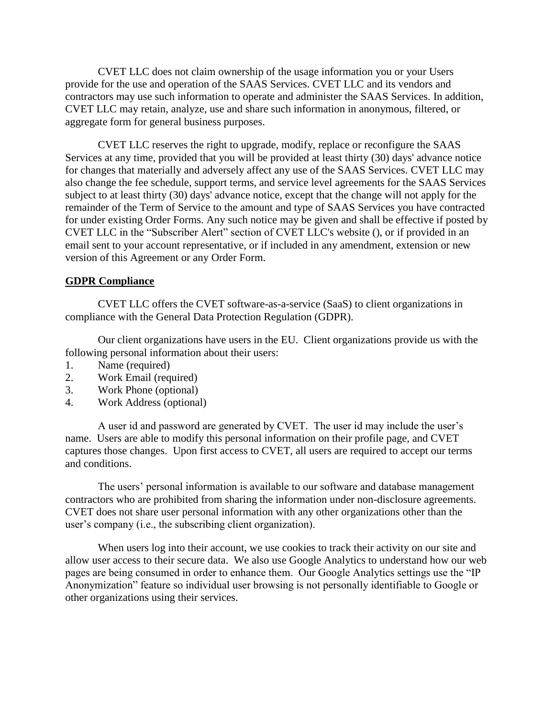CVET LLC does not claim ownership of the usage information you or your Users provide for the use and operation of the SAAS Services. CVET LLC and its vendors and contractors may use such information to operate and administer the SAAS Services. In addition, CVET LLC may retain, analyze, use and share such information in anonymous, filtered, or aggregate form for general business purposes.

CVET LLC reserves the right to upgrade, modify, replace or reconfigure the SAAS Services at any time, provided that you will be provided at least thirty (30) days' advance notice for changes that materially and adversely affect any use of the SAAS Services. CVET LLC may also change the fee schedule, support terms, and service level agreements for the SAAS Services subject to at least thirty (30) days' advance notice, except that the change will not apply for the remainder of the Term of Service to the amount and type of SAAS Services you have contracted for under existing Order Forms. Any such notice may be given and shall be effective if posted by CVET LLC in the "Subscriber Alert" section of CVET LLC's website (), or if provided in an email sent to your account representative, or if included in any amendment, extension or new version of this Agreement or any Order Form.

# **GDPR Compliance**

CVET LLC offers the CVET software-as-a-service (SaaS) to client organizations in compliance with the General Data Protection Regulation (GDPR).

Our client organizations have users in the EU. Client organizations provide us with the following personal information about their users:

- 1. Name (required)
- 2. Work Email (required)
- 3. Work Phone (optional)
- 4. Work Address (optional)

A user id and password are generated by CVET. The user id may include the user's name. Users are able to modify this personal information on their profile page, and CVET captures those changes. Upon first access to CVET, all users are required to accept our terms and conditions.

The users' personal information is available to our software and database management contractors who are prohibited from sharing the information under non-disclosure agreements. CVET does not share user personal information with any other organizations other than the user's company (i.e., the subscribing client organization).

When users log into their account, we use cookies to track their activity on our site and allow user access to their secure data. We also use Google Analytics to understand how our web pages are being consumed in order to enhance them. Our Google Analytics settings use the "IP Anonymization" feature so individual user browsing is not personally identifiable to Google or other organizations using their services.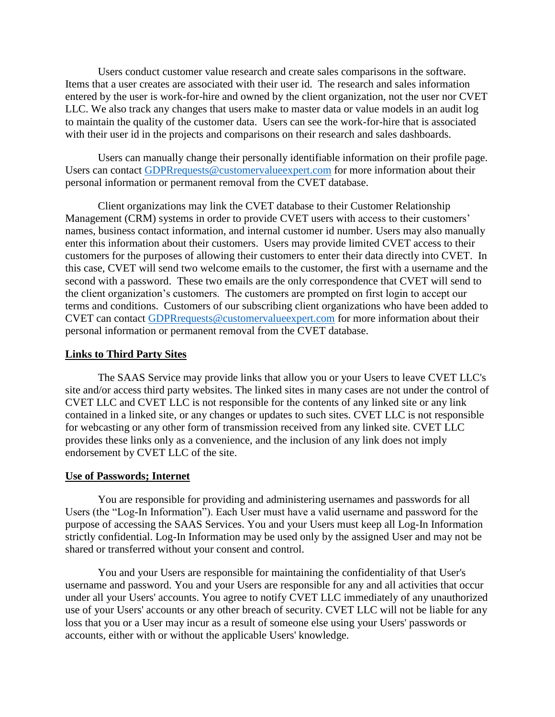Users conduct customer value research and create sales comparisons in the software. Items that a user creates are associated with their user id. The research and sales information entered by the user is work-for-hire and owned by the client organization, not the user nor CVET LLC. We also track any changes that users make to master data or value models in an audit log to maintain the quality of the customer data. Users can see the work-for-hire that is associated with their user id in the projects and comparisons on their research and sales dashboards.

Users can manually change their personally identifiable information on their profile page. Users can contact [GDPRrequests@customervalueexpert.com](mailto:GDPRrequests@customervalueexpert.com) for more information about their personal information or permanent removal from the CVET database.

Client organizations may link the CVET database to their Customer Relationship Management (CRM) systems in order to provide CVET users with access to their customers' names, business contact information, and internal customer id number. Users may also manually enter this information about their customers. Users may provide limited CVET access to their customers for the purposes of allowing their customers to enter their data directly into CVET. In this case, CVET will send two welcome emails to the customer, the first with a username and the second with a password. These two emails are the only correspondence that CVET will send to the client organization's customers. The customers are prompted on first login to accept our terms and conditions. Customers of our subscribing client organizations who have been added to CVET can contact [GDPRrequests@customervalueexpert.com](mailto:GDPRrequests@customervalueexpert.com) for more information about their personal information or permanent removal from the CVET database.

## **Links to Third Party Sites**

The SAAS Service may provide links that allow you or your Users to leave CVET LLC's site and/or access third party websites. The linked sites in many cases are not under the control of CVET LLC and CVET LLC is not responsible for the contents of any linked site or any link contained in a linked site, or any changes or updates to such sites. CVET LLC is not responsible for webcasting or any other form of transmission received from any linked site. CVET LLC provides these links only as a convenience, and the inclusion of any link does not imply endorsement by CVET LLC of the site.

## **Use of Passwords; Internet**

You are responsible for providing and administering usernames and passwords for all Users (the "Log-In Information"). Each User must have a valid username and password for the purpose of accessing the SAAS Services. You and your Users must keep all Log-In Information strictly confidential. Log-In Information may be used only by the assigned User and may not be shared or transferred without your consent and control.

You and your Users are responsible for maintaining the confidentiality of that User's username and password. You and your Users are responsible for any and all activities that occur under all your Users' accounts. You agree to notify CVET LLC immediately of any unauthorized use of your Users' accounts or any other breach of security. CVET LLC will not be liable for any loss that you or a User may incur as a result of someone else using your Users' passwords or accounts, either with or without the applicable Users' knowledge.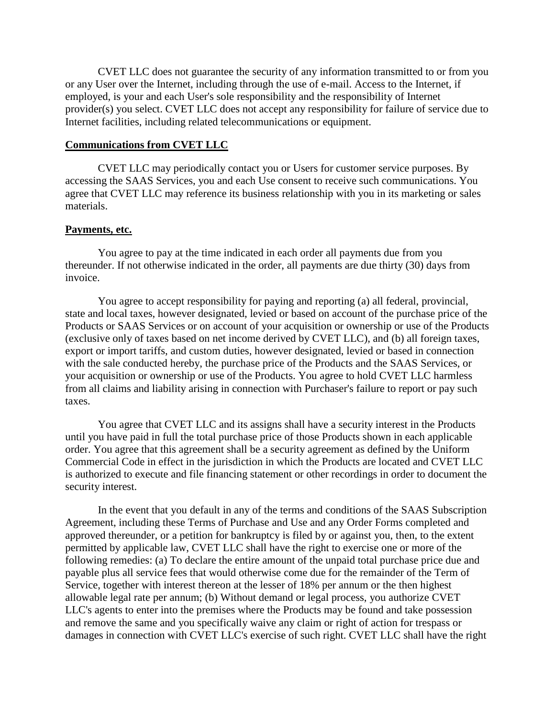CVET LLC does not guarantee the security of any information transmitted to or from you or any User over the Internet, including through the use of e-mail. Access to the Internet, if employed, is your and each User's sole responsibility and the responsibility of Internet provider(s) you select. CVET LLC does not accept any responsibility for failure of service due to Internet facilities, including related telecommunications or equipment.

## **Communications from CVET LLC**

CVET LLC may periodically contact you or Users for customer service purposes. By accessing the SAAS Services, you and each Use consent to receive such communications. You agree that CVET LLC may reference its business relationship with you in its marketing or sales materials.

## **Payments, etc.**

You agree to pay at the time indicated in each order all payments due from you thereunder. If not otherwise indicated in the order, all payments are due thirty (30) days from invoice.

You agree to accept responsibility for paying and reporting (a) all federal, provincial, state and local taxes, however designated, levied or based on account of the purchase price of the Products or SAAS Services or on account of your acquisition or ownership or use of the Products (exclusive only of taxes based on net income derived by CVET LLC), and (b) all foreign taxes, export or import tariffs, and custom duties, however designated, levied or based in connection with the sale conducted hereby, the purchase price of the Products and the SAAS Services, or your acquisition or ownership or use of the Products. You agree to hold CVET LLC harmless from all claims and liability arising in connection with Purchaser's failure to report or pay such taxes.

You agree that CVET LLC and its assigns shall have a security interest in the Products until you have paid in full the total purchase price of those Products shown in each applicable order. You agree that this agreement shall be a security agreement as defined by the Uniform Commercial Code in effect in the jurisdiction in which the Products are located and CVET LLC is authorized to execute and file financing statement or other recordings in order to document the security interest.

In the event that you default in any of the terms and conditions of the SAAS Subscription Agreement, including these Terms of Purchase and Use and any Order Forms completed and approved thereunder, or a petition for bankruptcy is filed by or against you, then, to the extent permitted by applicable law, CVET LLC shall have the right to exercise one or more of the following remedies: (a) To declare the entire amount of the unpaid total purchase price due and payable plus all service fees that would otherwise come due for the remainder of the Term of Service, together with interest thereon at the lesser of 18% per annum or the then highest allowable legal rate per annum; (b) Without demand or legal process, you authorize CVET LLC's agents to enter into the premises where the Products may be found and take possession and remove the same and you specifically waive any claim or right of action for trespass or damages in connection with CVET LLC's exercise of such right. CVET LLC shall have the right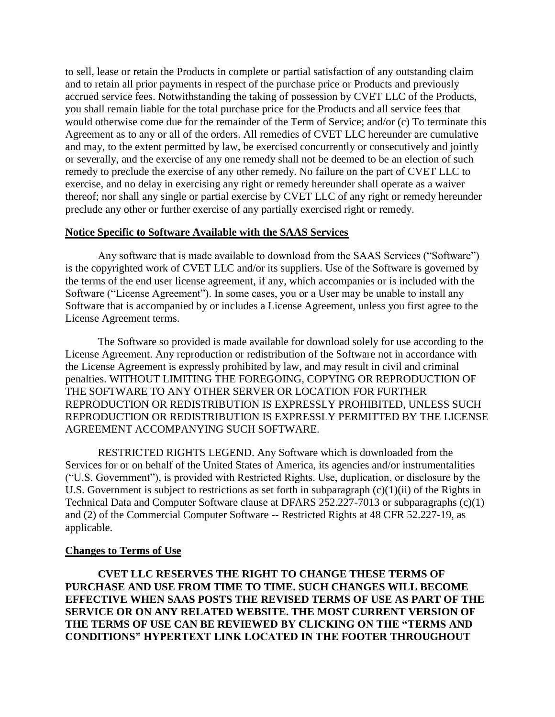to sell, lease or retain the Products in complete or partial satisfaction of any outstanding claim and to retain all prior payments in respect of the purchase price or Products and previously accrued service fees. Notwithstanding the taking of possession by CVET LLC of the Products, you shall remain liable for the total purchase price for the Products and all service fees that would otherwise come due for the remainder of the Term of Service; and/or (c) To terminate this Agreement as to any or all of the orders. All remedies of CVET LLC hereunder are cumulative and may, to the extent permitted by law, be exercised concurrently or consecutively and jointly or severally, and the exercise of any one remedy shall not be deemed to be an election of such remedy to preclude the exercise of any other remedy. No failure on the part of CVET LLC to exercise, and no delay in exercising any right or remedy hereunder shall operate as a waiver thereof; nor shall any single or partial exercise by CVET LLC of any right or remedy hereunder preclude any other or further exercise of any partially exercised right or remedy.

## **Notice Specific to Software Available with the SAAS Services**

Any software that is made available to download from the SAAS Services ("Software") is the copyrighted work of CVET LLC and/or its suppliers. Use of the Software is governed by the terms of the end user license agreement, if any, which accompanies or is included with the Software ("License Agreement"). In some cases, you or a User may be unable to install any Software that is accompanied by or includes a License Agreement, unless you first agree to the License Agreement terms.

The Software so provided is made available for download solely for use according to the License Agreement. Any reproduction or redistribution of the Software not in accordance with the License Agreement is expressly prohibited by law, and may result in civil and criminal penalties. WITHOUT LIMITING THE FOREGOING, COPYING OR REPRODUCTION OF THE SOFTWARE TO ANY OTHER SERVER OR LOCATION FOR FURTHER REPRODUCTION OR REDISTRIBUTION IS EXPRESSLY PROHIBITED, UNLESS SUCH REPRODUCTION OR REDISTRIBUTION IS EXPRESSLY PERMITTED BY THE LICENSE AGREEMENT ACCOMPANYING SUCH SOFTWARE.

RESTRICTED RIGHTS LEGEND. Any Software which is downloaded from the Services for or on behalf of the United States of America, its agencies and/or instrumentalities ("U.S. Government"), is provided with Restricted Rights. Use, duplication, or disclosure by the U.S. Government is subject to restrictions as set forth in subparagraph  $(c)(1)(ii)$  of the Rights in Technical Data and Computer Software clause at DFARS 252.227-7013 or subparagraphs (c)(1) and (2) of the Commercial Computer Software -- Restricted Rights at 48 CFR 52.227-19, as applicable.

# **Changes to Terms of Use**

**CVET LLC RESERVES THE RIGHT TO CHANGE THESE TERMS OF PURCHASE AND USE FROM TIME TO TIME. SUCH CHANGES WILL BECOME EFFECTIVE WHEN SAAS POSTS THE REVISED TERMS OF USE AS PART OF THE SERVICE OR ON ANY RELATED WEBSITE. THE MOST CURRENT VERSION OF THE TERMS OF USE CAN BE REVIEWED BY CLICKING ON THE "TERMS AND CONDITIONS" HYPERTEXT LINK LOCATED IN THE FOOTER THROUGHOUT**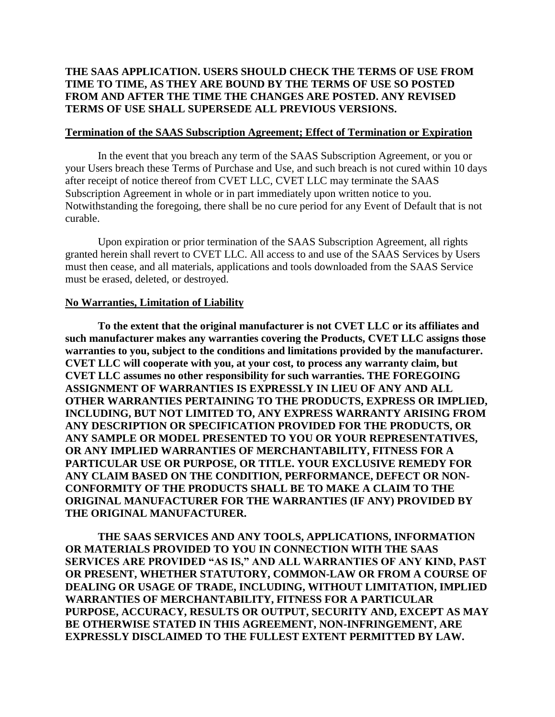# **THE SAAS APPLICATION. USERS SHOULD CHECK THE TERMS OF USE FROM TIME TO TIME, AS THEY ARE BOUND BY THE TERMS OF USE SO POSTED FROM AND AFTER THE TIME THE CHANGES ARE POSTED. ANY REVISED TERMS OF USE SHALL SUPERSEDE ALL PREVIOUS VERSIONS.**

## **Termination of the SAAS Subscription Agreement; Effect of Termination or Expiration**

In the event that you breach any term of the SAAS Subscription Agreement, or you or your Users breach these Terms of Purchase and Use, and such breach is not cured within 10 days after receipt of notice thereof from CVET LLC, CVET LLC may terminate the SAAS Subscription Agreement in whole or in part immediately upon written notice to you. Notwithstanding the foregoing, there shall be no cure period for any Event of Default that is not curable.

Upon expiration or prior termination of the SAAS Subscription Agreement, all rights granted herein shall revert to CVET LLC. All access to and use of the SAAS Services by Users must then cease, and all materials, applications and tools downloaded from the SAAS Service must be erased, deleted, or destroyed.

# **No Warranties, Limitation of Liability**

**To the extent that the original manufacturer is not CVET LLC or its affiliates and such manufacturer makes any warranties covering the Products, CVET LLC assigns those warranties to you, subject to the conditions and limitations provided by the manufacturer. CVET LLC will cooperate with you, at your cost, to process any warranty claim, but CVET LLC assumes no other responsibility for such warranties. THE FOREGOING ASSIGNMENT OF WARRANTIES IS EXPRESSLY IN LIEU OF ANY AND ALL OTHER WARRANTIES PERTAINING TO THE PRODUCTS, EXPRESS OR IMPLIED, INCLUDING, BUT NOT LIMITED TO, ANY EXPRESS WARRANTY ARISING FROM ANY DESCRIPTION OR SPECIFICATION PROVIDED FOR THE PRODUCTS, OR ANY SAMPLE OR MODEL PRESENTED TO YOU OR YOUR REPRESENTATIVES, OR ANY IMPLIED WARRANTIES OF MERCHANTABILITY, FITNESS FOR A PARTICULAR USE OR PURPOSE, OR TITLE. YOUR EXCLUSIVE REMEDY FOR ANY CLAIM BASED ON THE CONDITION, PERFORMANCE, DEFECT OR NON-CONFORMITY OF THE PRODUCTS SHALL BE TO MAKE A CLAIM TO THE ORIGINAL MANUFACTURER FOR THE WARRANTIES (IF ANY) PROVIDED BY THE ORIGINAL MANUFACTURER.**

**THE SAAS SERVICES AND ANY TOOLS, APPLICATIONS, INFORMATION OR MATERIALS PROVIDED TO YOU IN CONNECTION WITH THE SAAS SERVICES ARE PROVIDED "AS IS," AND ALL WARRANTIES OF ANY KIND, PAST OR PRESENT, WHETHER STATUTORY, COMMON-LAW OR FROM A COURSE OF DEALING OR USAGE OF TRADE, INCLUDING, WITHOUT LIMITATION, IMPLIED WARRANTIES OF MERCHANTABILITY, FITNESS FOR A PARTICULAR PURPOSE, ACCURACY, RESULTS OR OUTPUT, SECURITY AND, EXCEPT AS MAY BE OTHERWISE STATED IN THIS AGREEMENT, NON-INFRINGEMENT, ARE EXPRESSLY DISCLAIMED TO THE FULLEST EXTENT PERMITTED BY LAW.**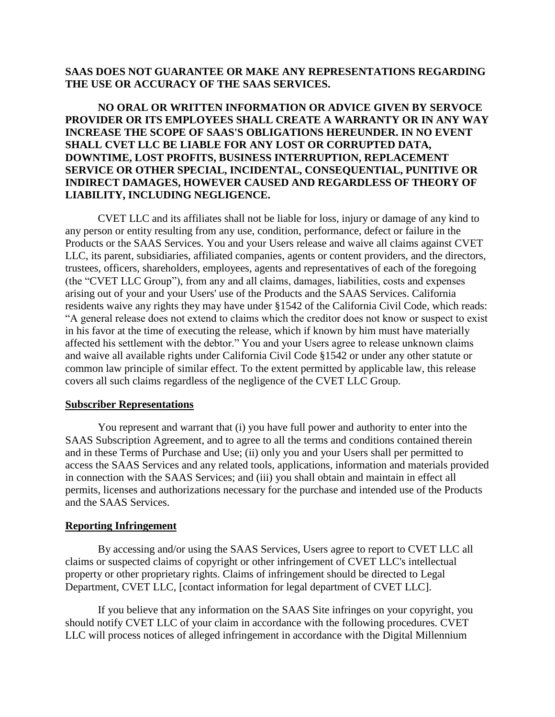# **SAAS DOES NOT GUARANTEE OR MAKE ANY REPRESENTATIONS REGARDING THE USE OR ACCURACY OF THE SAAS SERVICES.**

**NO ORAL OR WRITTEN INFORMATION OR ADVICE GIVEN BY SERVOCE PROVIDER OR ITS EMPLOYEES SHALL CREATE A WARRANTY OR IN ANY WAY INCREASE THE SCOPE OF SAAS'S OBLIGATIONS HEREUNDER. IN NO EVENT SHALL CVET LLC BE LIABLE FOR ANY LOST OR CORRUPTED DATA, DOWNTIME, LOST PROFITS, BUSINESS INTERRUPTION, REPLACEMENT SERVICE OR OTHER SPECIAL, INCIDENTAL, CONSEQUENTIAL, PUNITIVE OR INDIRECT DAMAGES, HOWEVER CAUSED AND REGARDLESS OF THEORY OF LIABILITY, INCLUDING NEGLIGENCE.**

CVET LLC and its affiliates shall not be liable for loss, injury or damage of any kind to any person or entity resulting from any use, condition, performance, defect or failure in the Products or the SAAS Services. You and your Users release and waive all claims against CVET LLC, its parent, subsidiaries, affiliated companies, agents or content providers, and the directors, trustees, officers, shareholders, employees, agents and representatives of each of the foregoing (the "CVET LLC Group"), from any and all claims, damages, liabilities, costs and expenses arising out of your and your Users' use of the Products and the SAAS Services. California residents waive any rights they may have under §1542 of the California Civil Code, which reads: "A general release does not extend to claims which the creditor does not know or suspect to exist in his favor at the time of executing the release, which if known by him must have materially affected his settlement with the debtor." You and your Users agree to release unknown claims and waive all available rights under California Civil Code §1542 or under any other statute or common law principle of similar effect. To the extent permitted by applicable law, this release covers all such claims regardless of the negligence of the CVET LLC Group.

## **Subscriber Representations**

You represent and warrant that (i) you have full power and authority to enter into the SAAS Subscription Agreement, and to agree to all the terms and conditions contained therein and in these Terms of Purchase and Use; (ii) only you and your Users shall per permitted to access the SAAS Services and any related tools, applications, information and materials provided in connection with the SAAS Services; and (iii) you shall obtain and maintain in effect all permits, licenses and authorizations necessary for the purchase and intended use of the Products and the SAAS Services.

# **Reporting Infringement**

By accessing and/or using the SAAS Services, Users agree to report to CVET LLC all claims or suspected claims of copyright or other infringement of CVET LLC's intellectual property or other proprietary rights. Claims of infringement should be directed to Legal Department, CVET LLC, [contact information for legal department of CVET LLC].

If you believe that any information on the SAAS Site infringes on your copyright, you should notify CVET LLC of your claim in accordance with the following procedures. CVET LLC will process notices of alleged infringement in accordance with the Digital Millennium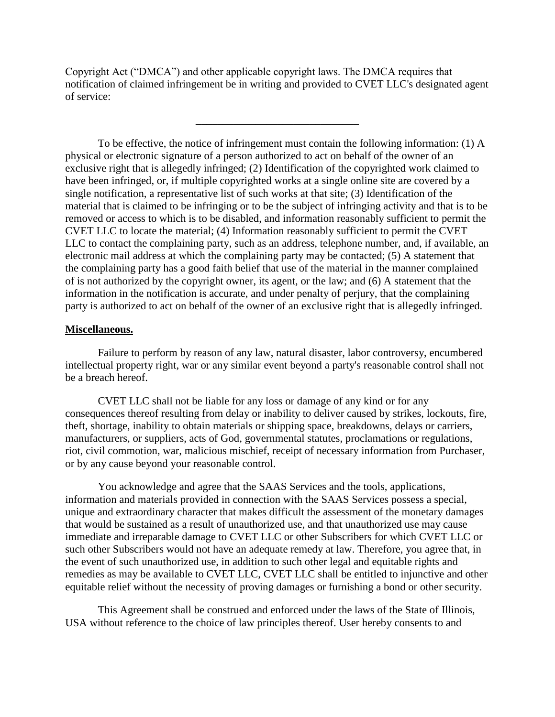Copyright Act ("DMCA") and other applicable copyright laws. The DMCA requires that notification of claimed infringement be in writing and provided to CVET LLC's designated agent of service:

\_\_\_\_\_\_\_\_\_\_\_\_\_\_\_\_\_\_\_\_\_\_\_\_\_\_\_\_\_\_

To be effective, the notice of infringement must contain the following information: (1) A physical or electronic signature of a person authorized to act on behalf of the owner of an exclusive right that is allegedly infringed; (2) Identification of the copyrighted work claimed to have been infringed, or, if multiple copyrighted works at a single online site are covered by a single notification, a representative list of such works at that site; (3) Identification of the material that is claimed to be infringing or to be the subject of infringing activity and that is to be removed or access to which is to be disabled, and information reasonably sufficient to permit the CVET LLC to locate the material; (4) Information reasonably sufficient to permit the CVET LLC to contact the complaining party, such as an address, telephone number, and, if available, an electronic mail address at which the complaining party may be contacted; (5) A statement that the complaining party has a good faith belief that use of the material in the manner complained of is not authorized by the copyright owner, its agent, or the law; and (6) A statement that the information in the notification is accurate, and under penalty of perjury, that the complaining party is authorized to act on behalf of the owner of an exclusive right that is allegedly infringed.

## **Miscellaneous.**

Failure to perform by reason of any law, natural disaster, labor controversy, encumbered intellectual property right, war or any similar event beyond a party's reasonable control shall not be a breach hereof.

CVET LLC shall not be liable for any loss or damage of any kind or for any consequences thereof resulting from delay or inability to deliver caused by strikes, lockouts, fire, theft, shortage, inability to obtain materials or shipping space, breakdowns, delays or carriers, manufacturers, or suppliers, acts of God, governmental statutes, proclamations or regulations, riot, civil commotion, war, malicious mischief, receipt of necessary information from Purchaser, or by any cause beyond your reasonable control.

You acknowledge and agree that the SAAS Services and the tools, applications, information and materials provided in connection with the SAAS Services possess a special, unique and extraordinary character that makes difficult the assessment of the monetary damages that would be sustained as a result of unauthorized use, and that unauthorized use may cause immediate and irreparable damage to CVET LLC or other Subscribers for which CVET LLC or such other Subscribers would not have an adequate remedy at law. Therefore, you agree that, in the event of such unauthorized use, in addition to such other legal and equitable rights and remedies as may be available to CVET LLC, CVET LLC shall be entitled to injunctive and other equitable relief without the necessity of proving damages or furnishing a bond or other security.

This Agreement shall be construed and enforced under the laws of the State of Illinois, USA without reference to the choice of law principles thereof. User hereby consents to and